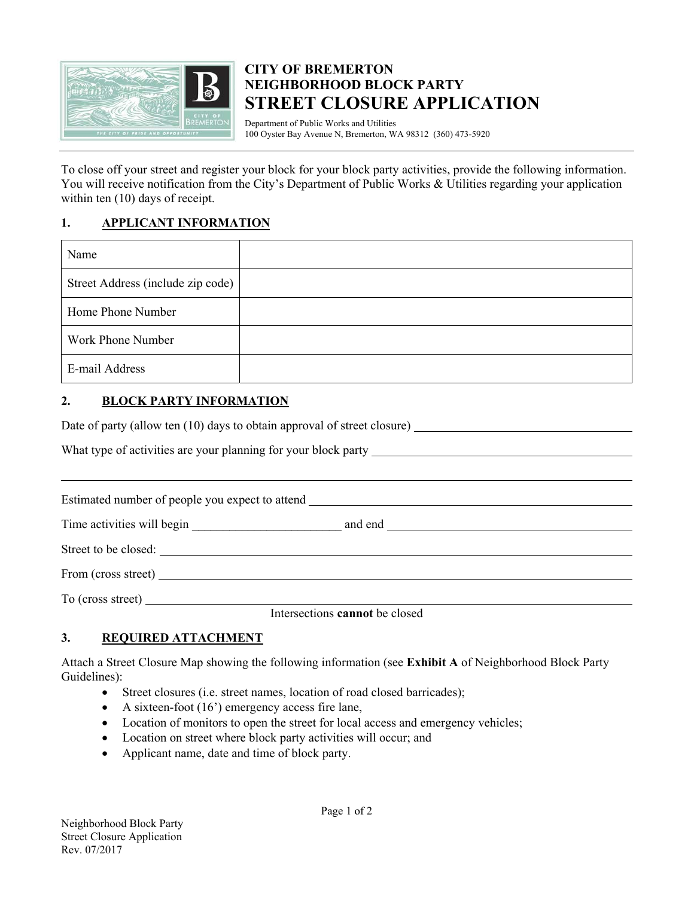

## **CITY OF BREMERTON NEIGHBORHOOD BLOCK PARTY STREET CLOSURE APPLICATION**

Department of Public Works and Utilities 100 Oyster Bay Avenue N, Bremerton, WA 98312 (360) 473-5920

To close off your street and register your block for your block party activities, provide the following information. You will receive notification from the City's Department of Public Works & Utilities regarding your application within ten (10) days of receipt.

## **1. APPLICANT INFORMATION**

| Name                              |  |
|-----------------------------------|--|
| Street Address (include zip code) |  |
| Home Phone Number                 |  |
| Work Phone Number                 |  |
| E-mail Address                    |  |

## **2. BLOCK PARTY INFORMATION**

| What type of activities are your planning for your block party __________________ |                                                                                                                                                                                                                                                                                                  |  |  |
|-----------------------------------------------------------------------------------|--------------------------------------------------------------------------------------------------------------------------------------------------------------------------------------------------------------------------------------------------------------------------------------------------|--|--|
|                                                                                   |                                                                                                                                                                                                                                                                                                  |  |  |
| Estimated number of people you expect to attend _________________________________ |                                                                                                                                                                                                                                                                                                  |  |  |
|                                                                                   |                                                                                                                                                                                                                                                                                                  |  |  |
|                                                                                   |                                                                                                                                                                                                                                                                                                  |  |  |
|                                                                                   |                                                                                                                                                                                                                                                                                                  |  |  |
|                                                                                   | $\mathbf{r}$ and $\mathbf{r}$ and $\mathbf{r}$ and $\mathbf{r}$ and $\mathbf{r}$ and $\mathbf{r}$ and $\mathbf{r}$ and $\mathbf{r}$ and $\mathbf{r}$ and $\mathbf{r}$ and $\mathbf{r}$ and $\mathbf{r}$ and $\mathbf{r}$ and $\mathbf{r}$ and $\mathbf{r}$ and $\mathbf{r}$ and $\mathbf{r}$ and |  |  |

Intersections **cannot** be closed

## **3. REQUIRED ATTACHMENT**

Attach a Street Closure Map showing the following information (see **Exhibit A** of Neighborhood Block Party Guidelines):

- Street closures (i.e. street names, location of road closed barricades);
- A sixteen-foot  $(16)$  emergency access fire lane,
- Location of monitors to open the street for local access and emergency vehicles;
- Location on street where block party activities will occur; and
- Applicant name, date and time of block party.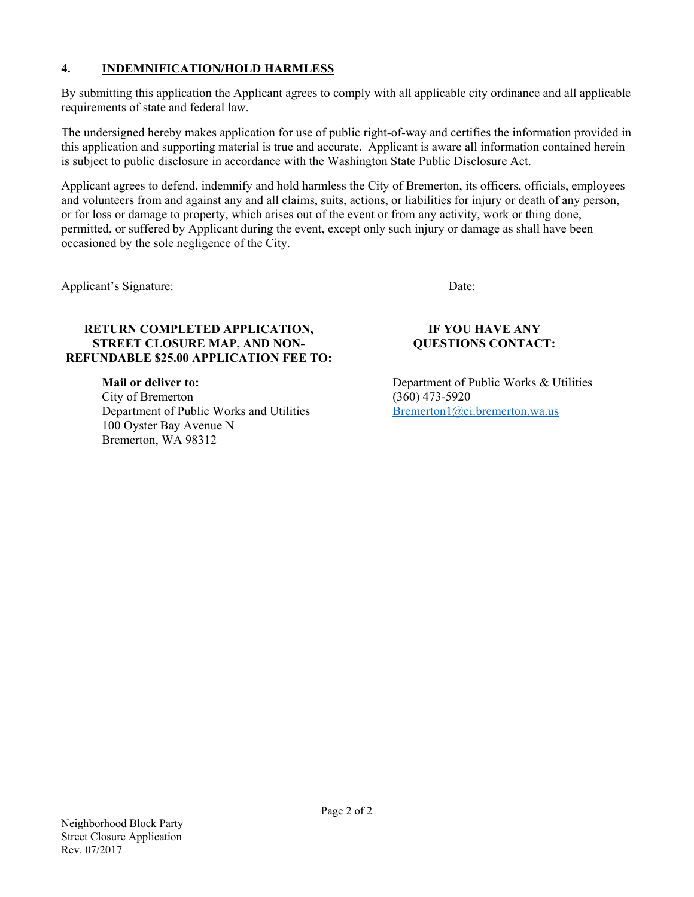## **4. INDEMNIFICATION/HOLD HARMLESS**

By submitting this application the Applicant agrees to comply with all applicable city ordinance and all applicable requirements of state and federal law.

The undersigned hereby makes application for use of public right-of-way and certifies the information provided in this application and supporting material is true and accurate. Applicant is aware all information contained herein is subject to public disclosure in accordance with the Washington State Public Disclosure Act.

Applicant agrees to defend, indemnify and hold harmless the City of Bremerton, its officers, officials, employees and volunteers from and against any and all claims, suits, actions, or liabilities for injury or death of any person, or for loss or damage to property, which arises out of the event or from any activity, work or thing done, permitted, or suffered by Applicant during the event, except only such injury or damage as shall have been occasioned by the sole negligence of the City.

Applicant's Signature: Date: Date: Date: Date: Date: Date: Date: Date: Date: Date: Date: Date: Date: Date: Date: Date: Date: Date: Date: Date: Date: Date: Date: Date: Date: Date: Date: Date: Date: Date: Date: Date: Date: D

## **RETURN COMPLETED APPLICATION, STREET CLOSURE MAP, AND NON-REFUNDABLE \$25.00 APPLICATION FEE TO:**

**Mail or deliver to:**  City of Bremerton Department of Public Works and Utilities 100 Oyster Bay Avenue N Bremerton, WA 98312

## **IF YOU HAVE ANY QUESTIONS CONTACT:**

Department of Public Works & Utilities (360) 473-5920 Bremerton1@ci.bremerton.wa.us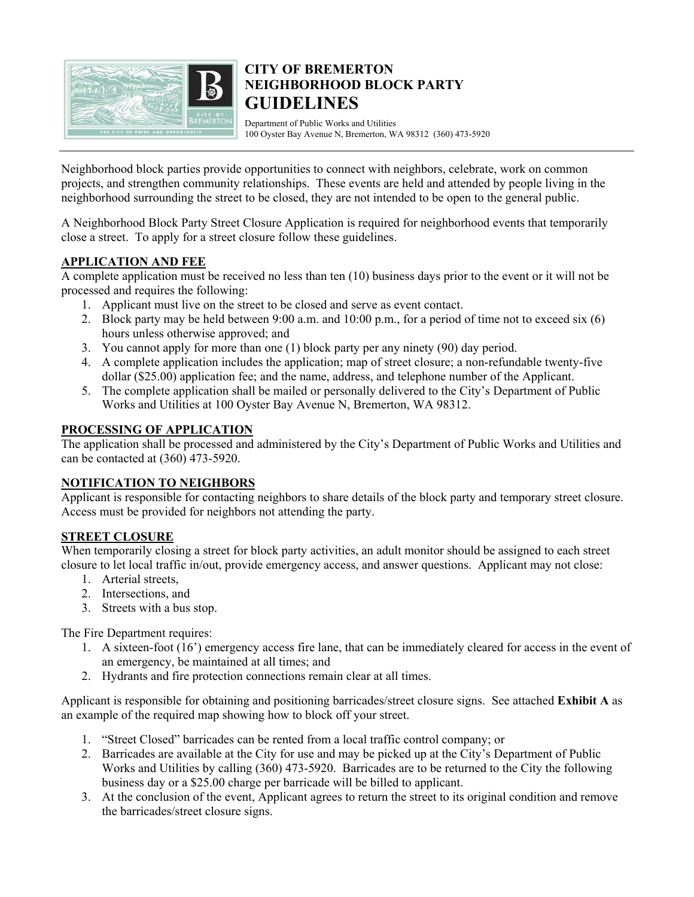

## **CITY OF BREMERTON NEIGHBORHOOD BLOCK PARTY GUIDELINES**

Department of Public Works and Utilities 100 Oyster Bay Avenue N, Bremerton, WA 98312 (360) 473-5920

Neighborhood block parties provide opportunities to connect with neighbors, celebrate, work on common projects, and strengthen community relationships. These events are held and attended by people living in the neighborhood surrounding the street to be closed, they are not intended to be open to the general public.

A Neighborhood Block Party Street Closure Application is required for neighborhood events that temporarily close a street. To apply for a street closure follow these guidelines.

## **APPLICATION AND FEE**

A complete application must be received no less than ten (10) business days prior to the event or it will not be processed and requires the following:

- 1. Applicant must live on the street to be closed and serve as event contact.
- 2. Block party may be held between 9:00 a.m. and 10:00 p.m., for a period of time not to exceed six (6) hours unless otherwise approved; and
- 3. You cannot apply for more than one (1) block party per any ninety (90) day period.
- 4. A complete application includes the application; map of street closure; a non-refundable twenty-five dollar (\$25.00) application fee; and the name, address, and telephone number of the Applicant.
- 5. The complete application shall be mailed or personally delivered to the City's Department of Public Works and Utilities at 100 Oyster Bay Avenue N, Bremerton, WA 98312.

### **PROCESSING OF APPLICATION**

The application shall be processed and administered by the City's Department of Public Works and Utilities and can be contacted at (360) 473-5920.

#### **NOTIFICATION TO NEIGHBORS**

Applicant is responsible for contacting neighbors to share details of the block party and temporary street closure. Access must be provided for neighbors not attending the party.

### **STREET CLOSURE**

When temporarily closing a street for block party activities, an adult monitor should be assigned to each street closure to let local traffic in/out, provide emergency access, and answer questions. Applicant may not close:

- 1. Arterial streets,
- 2. Intersections, and
- 3. Streets with a bus stop.

The Fire Department requires:

- 1. A sixteen-foot (16') emergency access fire lane, that can be immediately cleared for access in the event of an emergency, be maintained at all times; and
- 2. Hydrants and fire protection connections remain clear at all times.

Applicant is responsible for obtaining and positioning barricades/street closure signs. See attached **Exhibit A** as an example of the required map showing how to block off your street.

- 1. "Street Closed" barricades can be rented from a local traffic control company; or
- 2. Barricades are available at the City for use and may be picked up at the City's Department of Public Works and Utilities by calling (360) 473-5920. Barricades are to be returned to the City the following business day or a \$25.00 charge per barricade will be billed to applicant.
- 3. At the conclusion of the event, Applicant agrees to return the street to its original condition and remove the barricades/street closure signs.